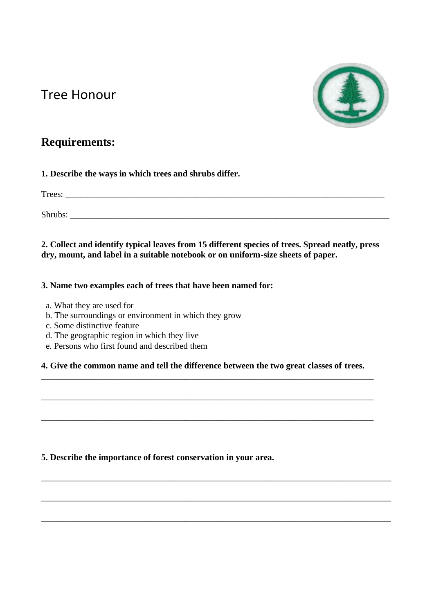# Tree Honour



## **Requirements:**

**1. Describe the ways in which trees and shrubs differ.**

| $\mathbf{r}$<br>rees |  |  |
|----------------------|--|--|
|                      |  |  |

Shrubs: \_\_\_\_\_\_\_\_\_\_\_\_\_\_\_\_\_\_\_\_\_\_\_\_\_\_\_\_\_\_\_\_\_\_\_\_\_\_\_\_\_\_\_\_\_\_\_\_\_\_\_\_\_\_\_\_\_\_\_\_\_\_\_\_\_\_\_\_\_\_\_\_\_

**2. Collect and identify typical leaves from 15 different species of trees. Spread neatly, press dry, mount, and label in a suitable notebook or on uniform-size sheets of paper.**

#### **3. Name two examples each of trees that have been named for:**

- a. What they are used for
- b. The surroundings or environment in which they grow
- c. Some distinctive feature
- d. The geographic region in which they live
- e. Persons who first found and described them

#### **4. Give the common name and tell the difference between the two great classes of trees.** \_\_\_\_\_\_\_\_\_\_\_\_\_\_\_\_\_\_\_\_\_\_\_\_\_\_\_\_\_\_\_\_\_\_\_\_\_\_\_\_\_\_\_\_\_\_\_\_\_\_\_\_\_\_\_\_\_\_\_\_\_\_\_\_\_\_\_\_\_\_\_\_\_\_\_\_

\_\_\_\_\_\_\_\_\_\_\_\_\_\_\_\_\_\_\_\_\_\_\_\_\_\_\_\_\_\_\_\_\_\_\_\_\_\_\_\_\_\_\_\_\_\_\_\_\_\_\_\_\_\_\_\_\_\_\_\_\_\_\_\_\_\_\_\_\_\_\_\_\_\_\_\_

\_\_\_\_\_\_\_\_\_\_\_\_\_\_\_\_\_\_\_\_\_\_\_\_\_\_\_\_\_\_\_\_\_\_\_\_\_\_\_\_\_\_\_\_\_\_\_\_\_\_\_\_\_\_\_\_\_\_\_\_\_\_\_\_\_\_\_\_\_\_\_\_\_\_\_\_

\_\_\_\_\_\_\_\_\_\_\_\_\_\_\_\_\_\_\_\_\_\_\_\_\_\_\_\_\_\_\_\_\_\_\_\_\_\_\_\_\_\_\_\_\_\_\_\_\_\_\_\_\_\_\_\_\_\_\_\_\_\_\_\_\_\_\_\_\_\_\_\_\_\_\_\_\_\_\_\_

\_\_\_\_\_\_\_\_\_\_\_\_\_\_\_\_\_\_\_\_\_\_\_\_\_\_\_\_\_\_\_\_\_\_\_\_\_\_\_\_\_\_\_\_\_\_\_\_\_\_\_\_\_\_\_\_\_\_\_\_\_\_\_\_\_\_\_\_\_\_\_\_\_\_\_\_\_\_\_\_

\_\_\_\_\_\_\_\_\_\_\_\_\_\_\_\_\_\_\_\_\_\_\_\_\_\_\_\_\_\_\_\_\_\_\_\_\_\_\_\_\_\_\_\_\_\_\_\_\_\_\_\_\_\_\_\_\_\_\_\_\_\_\_\_\_\_\_\_\_\_\_\_\_\_\_\_\_\_\_\_

**5. Describe the importance of forest conservation in your area.**